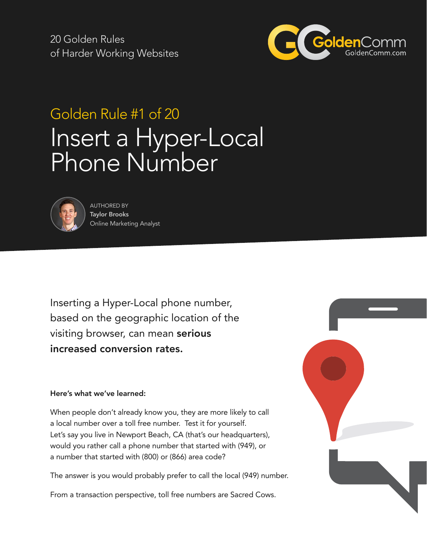20 Golden Rules of Harder Working Websites



# Golden Rule #1 of 20 Insert a Hyper-Local Phone Number



AUTHORED BY Taylor Brooks Online Marketing Analyst

Inserting a Hyper-Local phone number, based on the geographic location of the visiting browser, can mean serious increased conversion rates.

#### Here's what we've learned:

When people don't already know you, they are more likely to call a local number over a toll free number. Test it for yourself. Let's say you live in Newport Beach, CA (that's our headquarters), would you rather call a phone number that started with (949), or a number that started with (800) or (866) area code?

The answer is you would probably prefer to call the local (949) number.

From a transaction perspective, toll free numbers are Sacred Cows.

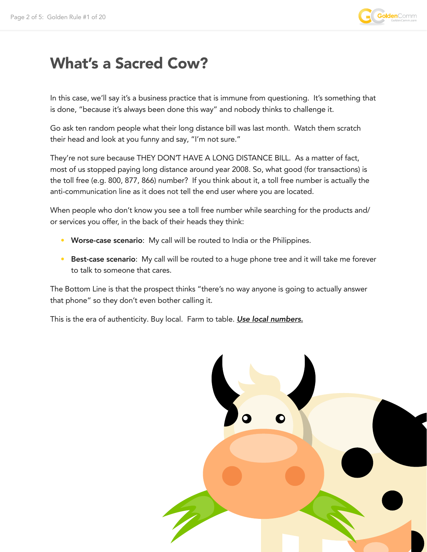

### What's a Sacred Cow?

In this case, we'll say it's a business practice that is immune from questioning. It's something that is done, "because it's always been done this way" and nobody thinks to challenge it.

Go ask ten random people what their long distance bill was last month. Watch them scratch their head and look at you funny and say, "I'm not sure."

They're not sure because THEY DONT HAVE A LONG DISTANCE BILL. As a matter of fact, most of us stopped paying long distance around year 2008. So, what good (for transactions) is the toll free (e.g. 800, 877, 866) number? If you think about it, a toll free number is actually the anti-communication line as it does not tell the end user where you are located.

When people who don't know you see a toll free number while searching for the products and/ or services you offer, in the back of their heads they think:

- Worse-case scenario: My call will be routed to India or the Philippines.
- Best-case scenario: My call will be routed to a huge phone tree and it will take me forever to talk to someone that cares.

The Bottom Line is that the prospect thinks "there's no way anyone is going to actually answer that phone" so they don't even bother calling it.

This is the era of authenticity. Buy local. Farm to table. *Use local numbers.*

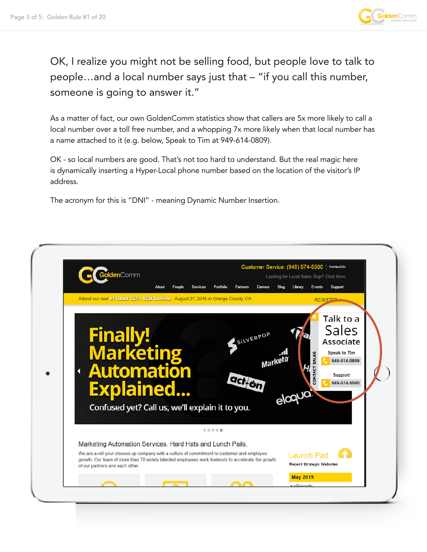

OK, I realize you might not be selling food, but people love to talk to people…and a local number says just that – "if you call this number, someone is going to answer it."

As a matter of fact, our own GoldenComm statistics show that callers are 5x more likely to call a local number over a toll free number, and a whopping 7x more likely when that local number has a name attached to it (e.g. below, Speak to Tim at 949-614-0809).

OK - so local numbers are good. That's not too hard to understand. But the real magic here is dynamically inserting a Hyper-Local phone number based on the location of the visitor's IP address.

The acronym for this is "DNI" - meaning Dynamic Number Insertion.

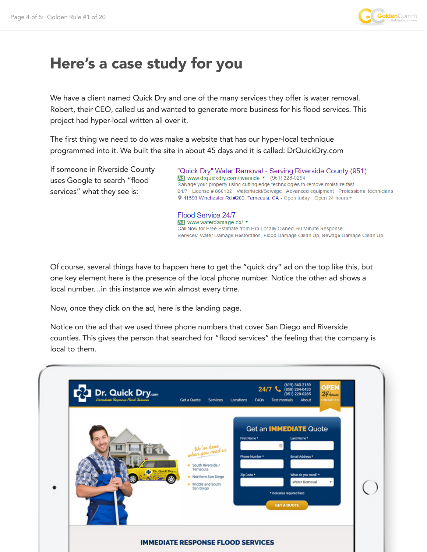

## Here's a case study for you

We have a client named Quick Dry and one of the many services they offer is water removal. Robert, their CEO, called us and wanted to generate more business for his flood services. This project had hyper-local written all over it.

The first thing we need to do was make a website that has our hyper-local technique programmed into it. We built the site in about 45 days and it is called: DrQuickDry.com

If someone in Riverside County uses Google to search "flood services" what they see is:

"Quick Dry" Water Removal - Serving Riverside County (951) Ad www.drquickdry.com/riverside ▼ (951) 228-0294 Salvage your property using cutting edge technologies to remove moisture fast. 24/7 · License # 860132 · Water/Mold/Sewage · Advanced equipment · Professional technicians V 41593 Winchester Rd #200, Temecula, CA - Open today · Open 24 hours ▼

Flood Service 24/7 Ad www.waterdamage.co/ v Call Now for Free Estimate from Pro Locally Owned. 60 Minute Response. Services: Water Damage Restoration, Flood Damage Clean Up, Sewage Damage Clean Up..

Of course, several things have to happen here to get the "quick dry" ad on the top like this, but one key element here is the presence of the local phone number. Notice the other ad shows a local number…in this instance we win almost every time.

Now, once they click on the ad, here is the landing page.

Notice on the ad that we used three phone numbers that cover San Diego and Riverside counties. This gives the person that searched for "flood services" the feeling that the company is local to them.